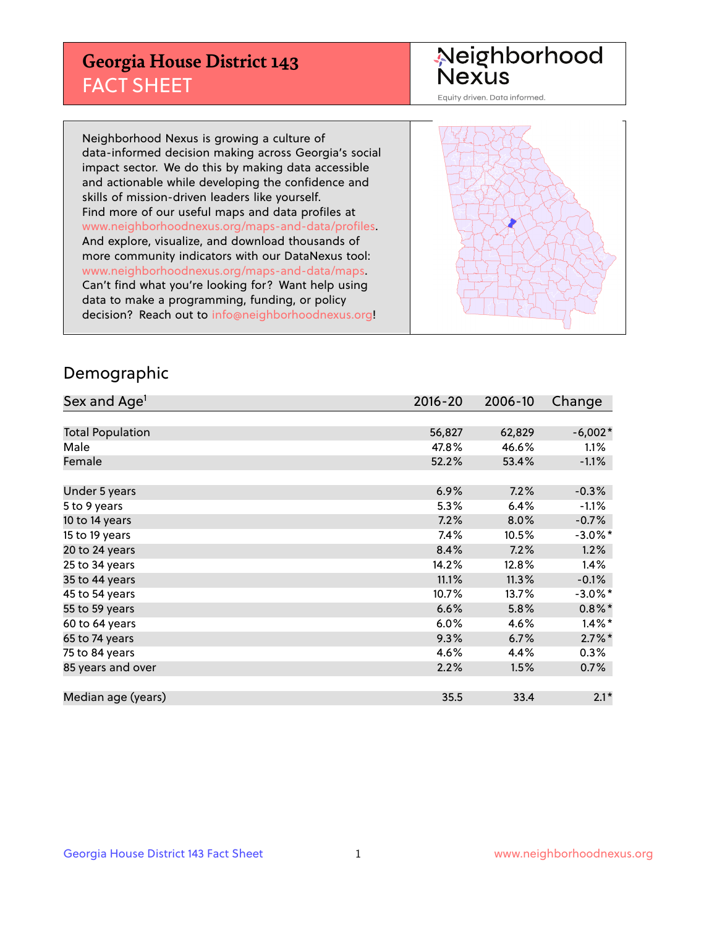## **Georgia House District 143** FACT SHEET

# Neighborhood<br>Nexus

Equity driven. Data informed.

Neighborhood Nexus is growing a culture of data-informed decision making across Georgia's social impact sector. We do this by making data accessible and actionable while developing the confidence and skills of mission-driven leaders like yourself. Find more of our useful maps and data profiles at www.neighborhoodnexus.org/maps-and-data/profiles. And explore, visualize, and download thousands of more community indicators with our DataNexus tool: www.neighborhoodnexus.org/maps-and-data/maps. Can't find what you're looking for? Want help using data to make a programming, funding, or policy decision? Reach out to [info@neighborhoodnexus.org!](mailto:info@neighborhoodnexus.org)



### Demographic

| Sex and Age <sup>1</sup> | $2016 - 20$ | 2006-10 | Change     |
|--------------------------|-------------|---------|------------|
|                          |             |         |            |
| <b>Total Population</b>  | 56,827      | 62,829  | $-6,002*$  |
| Male                     | 47.8%       | 46.6%   | $1.1\%$    |
| Female                   | 52.2%       | 53.4%   | $-1.1%$    |
|                          |             |         |            |
| Under 5 years            | 6.9%        | 7.2%    | $-0.3%$    |
| 5 to 9 years             | 5.3%        | 6.4%    | $-1.1%$    |
| 10 to 14 years           | 7.2%        | 8.0%    | $-0.7%$    |
| 15 to 19 years           | 7.4%        | 10.5%   | $-3.0\%$ * |
| 20 to 24 years           | 8.4%        | 7.2%    | 1.2%       |
| 25 to 34 years           | 14.2%       | 12.8%   | 1.4%       |
| 35 to 44 years           | 11.1%       | 11.3%   | $-0.1%$    |
| 45 to 54 years           | 10.7%       | 13.7%   | $-3.0\%$ * |
| 55 to 59 years           | 6.6%        | 5.8%    | $0.8\%$ *  |
| 60 to 64 years           | 6.0%        | 4.6%    | $1.4\%$ *  |
| 65 to 74 years           | 9.3%        | 6.7%    | $2.7\%$ *  |
| 75 to 84 years           | 4.6%        | 4.4%    | $0.3\%$    |
| 85 years and over        | 2.2%        | 1.5%    | 0.7%       |
|                          |             |         |            |
| Median age (years)       | 35.5        | 33.4    | $2.1*$     |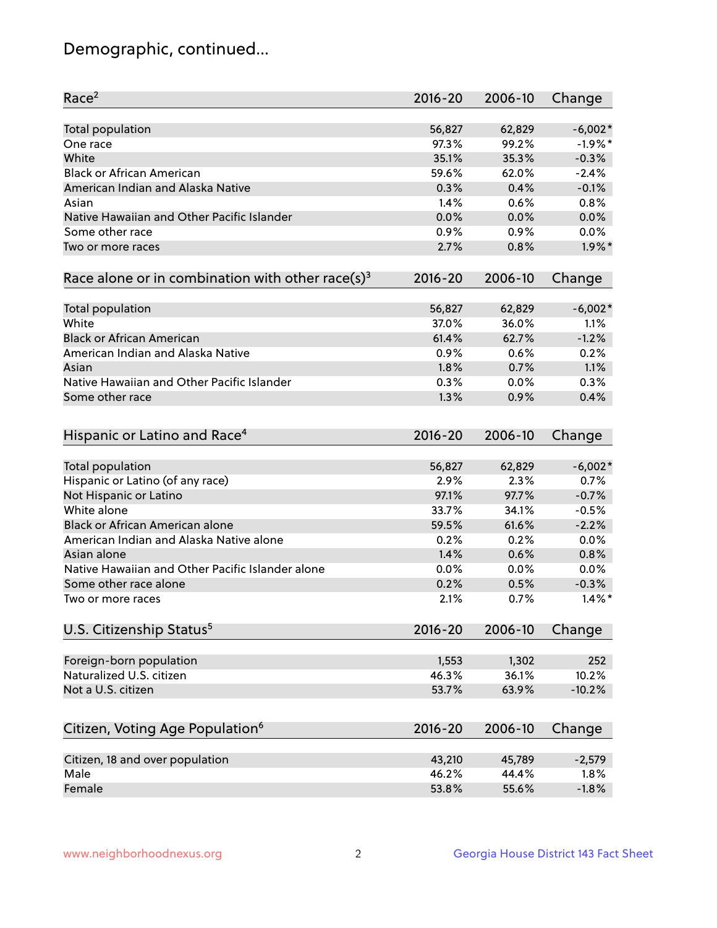## Demographic, continued...

| Race <sup>2</sup>                                            | $2016 - 20$ | 2006-10 | Change    |
|--------------------------------------------------------------|-------------|---------|-----------|
| <b>Total population</b>                                      | 56,827      | 62,829  | $-6,002*$ |
| One race                                                     | 97.3%       | 99.2%   | $-1.9%$ * |
| White                                                        | 35.1%       | 35.3%   | $-0.3%$   |
| <b>Black or African American</b>                             | 59.6%       | 62.0%   | $-2.4%$   |
| American Indian and Alaska Native                            | 0.3%        | 0.4%    | $-0.1%$   |
| Asian                                                        | 1.4%        | 0.6%    | 0.8%      |
| Native Hawaiian and Other Pacific Islander                   | 0.0%        | 0.0%    | 0.0%      |
| Some other race                                              | $0.9\%$     | 0.9%    | 0.0%      |
| Two or more races                                            | 2.7%        | 0.8%    | $1.9\%$ * |
| Race alone or in combination with other race(s) <sup>3</sup> | $2016 - 20$ | 2006-10 | Change    |
| Total population                                             | 56,827      | 62,829  | $-6,002*$ |
| White                                                        | 37.0%       | 36.0%   | 1.1%      |
| <b>Black or African American</b>                             | 61.4%       | 62.7%   | $-1.2%$   |
| American Indian and Alaska Native                            | 0.9%        | 0.6%    | 0.2%      |
| Asian                                                        | 1.8%        | 0.7%    | 1.1%      |
| Native Hawaiian and Other Pacific Islander                   | 0.3%        | 0.0%    | 0.3%      |
| Some other race                                              | 1.3%        | 0.9%    | 0.4%      |
|                                                              |             |         |           |
| Hispanic or Latino and Race <sup>4</sup>                     | $2016 - 20$ | 2006-10 | Change    |
| Total population                                             | 56,827      | 62,829  | $-6,002*$ |
| Hispanic or Latino (of any race)                             | 2.9%        | 2.3%    | 0.7%      |
| Not Hispanic or Latino                                       | 97.1%       | 97.7%   | $-0.7%$   |
| White alone                                                  | 33.7%       | 34.1%   | $-0.5%$   |
| Black or African American alone                              | 59.5%       | 61.6%   | $-2.2%$   |
| American Indian and Alaska Native alone                      | 0.2%        | 0.2%    | 0.0%      |
| Asian alone                                                  | 1.4%        | 0.6%    | 0.8%      |
| Native Hawaiian and Other Pacific Islander alone             | $0.0\%$     | 0.0%    | 0.0%      |
| Some other race alone                                        | 0.2%        | 0.5%    | $-0.3%$   |
| Two or more races                                            | 2.1%        | 0.7%    | $1.4\%$ * |
| U.S. Citizenship Status <sup>5</sup>                         | $2016 - 20$ | 2006-10 | Change    |
|                                                              |             |         |           |
| Foreign-born population                                      | 1,553       | 1,302   | 252       |
| Naturalized U.S. citizen                                     | 46.3%       | 36.1%   | 10.2%     |
| Not a U.S. citizen                                           | 53.7%       | 63.9%   | $-10.2%$  |
|                                                              |             |         |           |
| Citizen, Voting Age Population <sup>6</sup>                  | $2016 - 20$ | 2006-10 | Change    |
| Citizen, 18 and over population                              | 43,210      | 45,789  | $-2,579$  |
| Male                                                         | 46.2%       | 44.4%   | 1.8%      |
| Female                                                       | 53.8%       | 55.6%   | $-1.8%$   |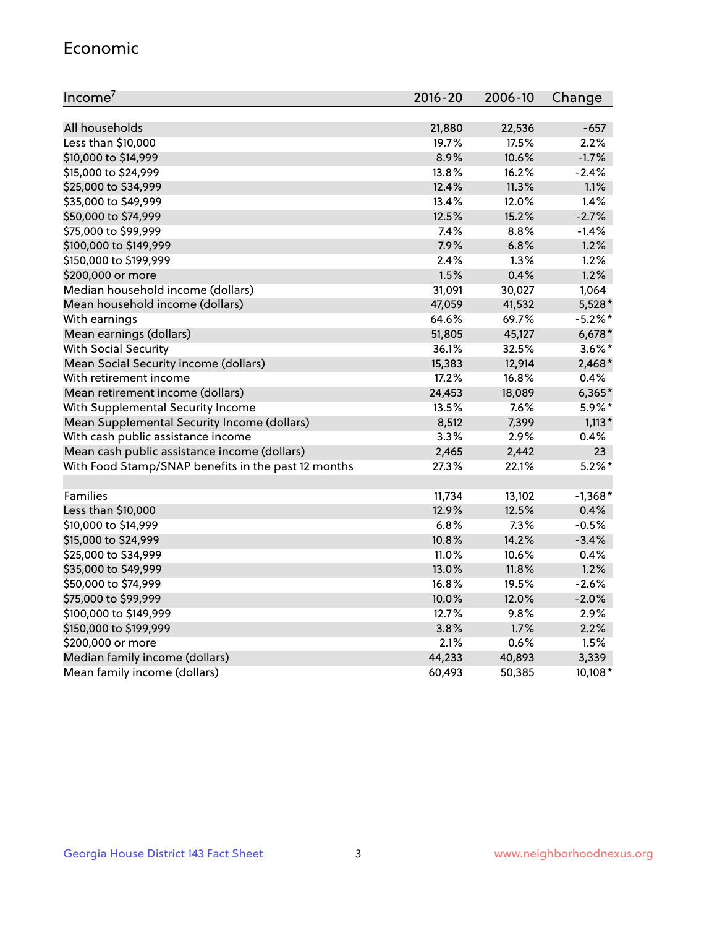#### Economic

| Income <sup>7</sup>                                 | 2016-20 | 2006-10 | Change    |
|-----------------------------------------------------|---------|---------|-----------|
|                                                     |         |         |           |
| All households                                      | 21,880  | 22,536  | $-657$    |
| Less than \$10,000                                  | 19.7%   | 17.5%   | 2.2%      |
| \$10,000 to \$14,999                                | 8.9%    | 10.6%   | $-1.7%$   |
| \$15,000 to \$24,999                                | 13.8%   | 16.2%   | $-2.4%$   |
| \$25,000 to \$34,999                                | 12.4%   | 11.3%   | 1.1%      |
| \$35,000 to \$49,999                                | 13.4%   | 12.0%   | 1.4%      |
| \$50,000 to \$74,999                                | 12.5%   | 15.2%   | $-2.7%$   |
| \$75,000 to \$99,999                                | 7.4%    | 8.8%    | $-1.4%$   |
| \$100,000 to \$149,999                              | 7.9%    | 6.8%    | 1.2%      |
| \$150,000 to \$199,999                              | 2.4%    | 1.3%    | 1.2%      |
| \$200,000 or more                                   | 1.5%    | 0.4%    | 1.2%      |
| Median household income (dollars)                   | 31,091  | 30,027  | 1,064     |
| Mean household income (dollars)                     | 47,059  | 41,532  | 5,528*    |
| With earnings                                       | 64.6%   | 69.7%   | $-5.2%$ * |
| Mean earnings (dollars)                             | 51,805  | 45,127  | $6,678*$  |
| <b>With Social Security</b>                         | 36.1%   | 32.5%   | $3.6\%$ * |
| Mean Social Security income (dollars)               | 15,383  | 12,914  | $2,468*$  |
| With retirement income                              | 17.2%   | 16.8%   | 0.4%      |
| Mean retirement income (dollars)                    | 24,453  | 18,089  | $6,365*$  |
| With Supplemental Security Income                   | 13.5%   | 7.6%    | $5.9\%$ * |
| Mean Supplemental Security Income (dollars)         | 8,512   | 7,399   | $1,113*$  |
| With cash public assistance income                  | 3.3%    | 2.9%    | 0.4%      |
| Mean cash public assistance income (dollars)        | 2,465   | 2,442   | 23        |
| With Food Stamp/SNAP benefits in the past 12 months | 27.3%   | 22.1%   | $5.2\%$ * |
|                                                     |         |         |           |
| Families                                            | 11,734  | 13,102  | $-1,368*$ |
| Less than \$10,000                                  | 12.9%   | 12.5%   | 0.4%      |
| \$10,000 to \$14,999                                | 6.8%    | 7.3%    | $-0.5%$   |
| \$15,000 to \$24,999                                | 10.8%   | 14.2%   | $-3.4%$   |
| \$25,000 to \$34,999                                | 11.0%   | 10.6%   | 0.4%      |
| \$35,000 to \$49,999                                | 13.0%   | 11.8%   | 1.2%      |
| \$50,000 to \$74,999                                | 16.8%   | 19.5%   | $-2.6%$   |
| \$75,000 to \$99,999                                | 10.0%   | 12.0%   | $-2.0%$   |
| \$100,000 to \$149,999                              | 12.7%   | 9.8%    | 2.9%      |
| \$150,000 to \$199,999                              | 3.8%    | 1.7%    | 2.2%      |
| \$200,000 or more                                   | 2.1%    | 0.6%    | 1.5%      |
| Median family income (dollars)                      | 44,233  | 40,893  | 3,339     |
| Mean family income (dollars)                        | 60,493  | 50,385  | 10,108*   |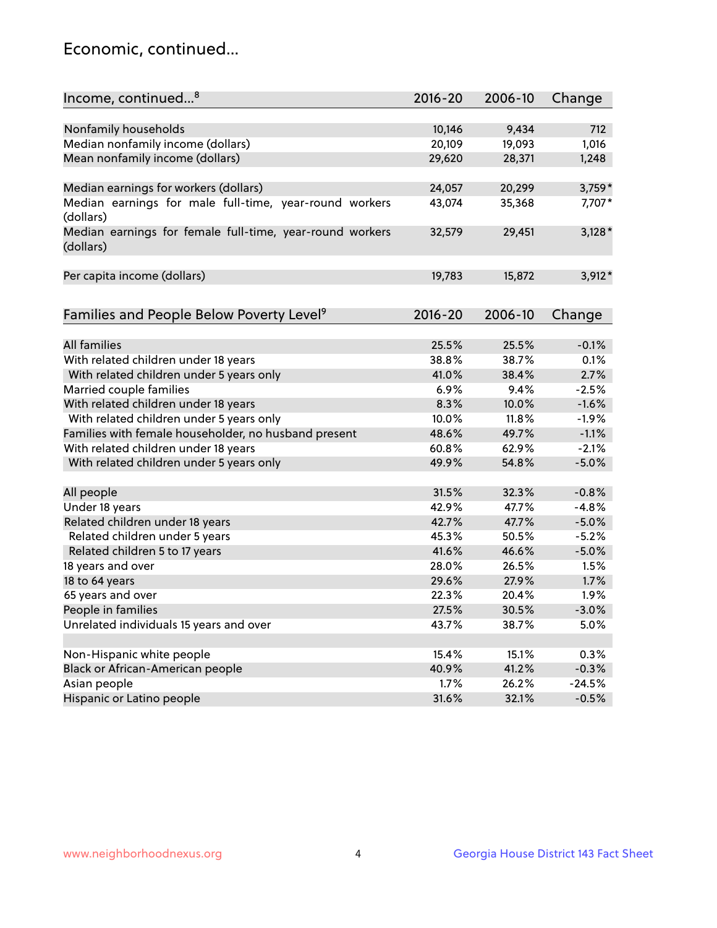## Economic, continued...

| Income, continued <sup>8</sup>                           | $2016 - 20$ | 2006-10 | Change   |
|----------------------------------------------------------|-------------|---------|----------|
|                                                          |             |         |          |
| Nonfamily households                                     | 10,146      | 9,434   | 712      |
| Median nonfamily income (dollars)                        | 20,109      | 19,093  | 1,016    |
| Mean nonfamily income (dollars)                          | 29,620      | 28,371  | 1,248    |
| Median earnings for workers (dollars)                    | 24,057      | 20,299  | 3,759*   |
| Median earnings for male full-time, year-round workers   | 43,074      | 35,368  | 7,707*   |
| (dollars)                                                |             |         |          |
| Median earnings for female full-time, year-round workers | 32,579      | 29,451  | $3,128*$ |
| (dollars)                                                |             |         |          |
|                                                          |             |         |          |
| Per capita income (dollars)                              | 19,783      | 15,872  | $3,912*$ |
|                                                          |             |         |          |
| Families and People Below Poverty Level <sup>9</sup>     | $2016 - 20$ | 2006-10 | Change   |
|                                                          |             |         |          |
| <b>All families</b>                                      | 25.5%       | 25.5%   | $-0.1%$  |
| With related children under 18 years                     | 38.8%       | 38.7%   | 0.1%     |
| With related children under 5 years only                 | 41.0%       | 38.4%   | 2.7%     |
| Married couple families                                  | 6.9%        | 9.4%    | $-2.5%$  |
| With related children under 18 years                     | 8.3%        | 10.0%   | $-1.6%$  |
| With related children under 5 years only                 | 10.0%       | 11.8%   | $-1.9%$  |
| Families with female householder, no husband present     | 48.6%       | 49.7%   | $-1.1%$  |
| With related children under 18 years                     | 60.8%       | 62.9%   | $-2.1%$  |
| With related children under 5 years only                 | 49.9%       | 54.8%   | $-5.0%$  |
|                                                          |             |         |          |
| All people                                               | 31.5%       | 32.3%   | $-0.8%$  |
| Under 18 years                                           | 42.9%       | 47.7%   | $-4.8%$  |
| Related children under 18 years                          | 42.7%       | 47.7%   | $-5.0%$  |
| Related children under 5 years                           | 45.3%       | 50.5%   | $-5.2%$  |
| Related children 5 to 17 years                           | 41.6%       | 46.6%   | $-5.0%$  |
| 18 years and over                                        | 28.0%       | 26.5%   | 1.5%     |
| 18 to 64 years                                           | 29.6%       | 27.9%   | 1.7%     |
| 65 years and over                                        | 22.3%       | 20.4%   | 1.9%     |
| People in families                                       | 27.5%       | 30.5%   | $-3.0%$  |
| Unrelated individuals 15 years and over                  | 43.7%       | 38.7%   | 5.0%     |
|                                                          |             |         |          |
| Non-Hispanic white people                                | 15.4%       | 15.1%   | 0.3%     |
| Black or African-American people                         | 40.9%       | 41.2%   | $-0.3%$  |
| Asian people                                             | 1.7%        | 26.2%   | $-24.5%$ |
| Hispanic or Latino people                                | 31.6%       | 32.1%   | $-0.5%$  |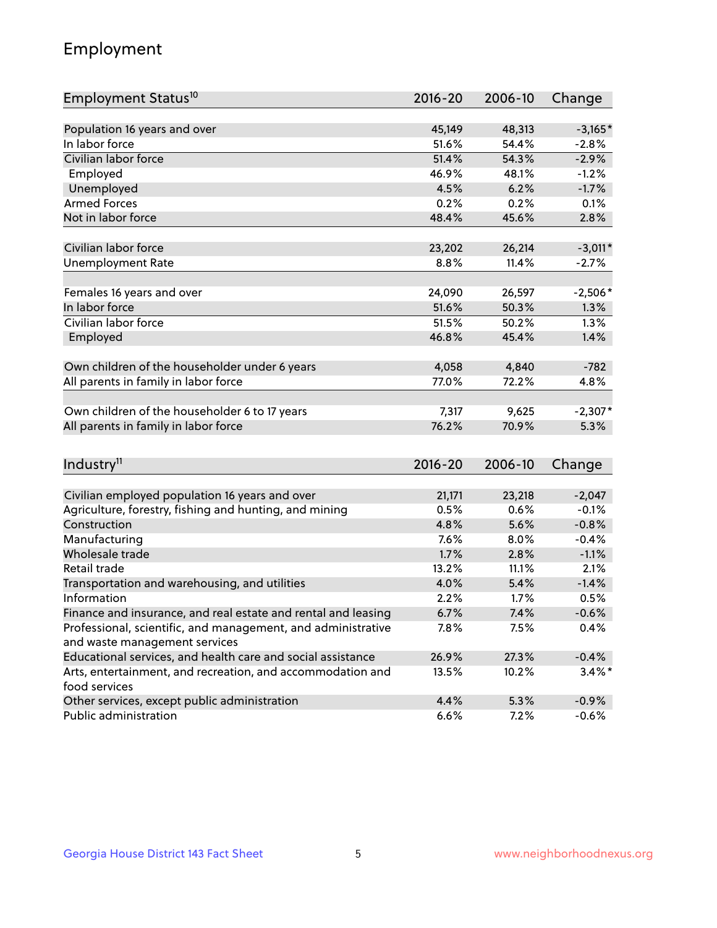## Employment

| Employment Status <sup>10</sup>                                             | $2016 - 20$ | 2006-10 | Change    |
|-----------------------------------------------------------------------------|-------------|---------|-----------|
|                                                                             |             |         |           |
| Population 16 years and over                                                | 45,149      | 48,313  | $-3,165*$ |
| In labor force                                                              | 51.6%       | 54.4%   | $-2.8%$   |
| Civilian labor force                                                        | 51.4%       | 54.3%   | $-2.9%$   |
| Employed                                                                    | 46.9%       | 48.1%   | $-1.2%$   |
| Unemployed                                                                  | 4.5%        | 6.2%    | $-1.7%$   |
| <b>Armed Forces</b>                                                         | 0.2%        | 0.2%    | 0.1%      |
| Not in labor force                                                          | 48.4%       | 45.6%   | 2.8%      |
|                                                                             |             |         |           |
| Civilian labor force                                                        | 23,202      | 26,214  | $-3,011*$ |
| <b>Unemployment Rate</b>                                                    | 8.8%        | 11.4%   | $-2.7%$   |
| Females 16 years and over                                                   | 24,090      | 26,597  | $-2,506*$ |
| In labor force                                                              | 51.6%       | 50.3%   | 1.3%      |
| Civilian labor force                                                        | 51.5%       | 50.2%   | 1.3%      |
| Employed                                                                    | 46.8%       | 45.4%   | 1.4%      |
|                                                                             |             |         |           |
| Own children of the householder under 6 years                               | 4,058       | 4,840   | $-782$    |
| All parents in family in labor force                                        | 77.0%       | 72.2%   | 4.8%      |
|                                                                             |             |         |           |
| Own children of the householder 6 to 17 years                               | 7,317       | 9,625   | $-2,307*$ |
| All parents in family in labor force                                        | 76.2%       | 70.9%   | 5.3%      |
|                                                                             |             |         |           |
| Industry <sup>11</sup>                                                      | $2016 - 20$ | 2006-10 | Change    |
|                                                                             |             |         |           |
| Civilian employed population 16 years and over                              | 21,171      | 23,218  | $-2,047$  |
| Agriculture, forestry, fishing and hunting, and mining                      | 0.5%        | 0.6%    | $-0.1%$   |
| Construction                                                                | 4.8%        | 5.6%    | $-0.8%$   |
| Manufacturing                                                               | 7.6%        | 8.0%    | $-0.4%$   |
| Wholesale trade                                                             | 1.7%        | 2.8%    | $-1.1%$   |
| Retail trade                                                                | 13.2%       | 11.1%   | 2.1%      |
| Transportation and warehousing, and utilities                               | 4.0%        | 5.4%    | $-1.4%$   |
| Information                                                                 | 2.2%        | 1.7%    | 0.5%      |
| Finance and insurance, and real estate and rental and leasing               | 6.7%        | 7.4%    | $-0.6%$   |
| Professional, scientific, and management, and administrative                | 7.8%        | 7.5%    | 0.4%      |
| and waste management services                                               |             |         |           |
| Educational services, and health care and social assistance                 | 26.9%       | 27.3%   | $-0.4%$   |
| Arts, entertainment, and recreation, and accommodation and<br>food services | 13.5%       | 10.2%   | $3.4\%$ * |
| Other services, except public administration                                | 4.4%        | 5.3%    | $-0.9%$   |
| Public administration                                                       | 6.6%        | 7.2%    | $-0.6%$   |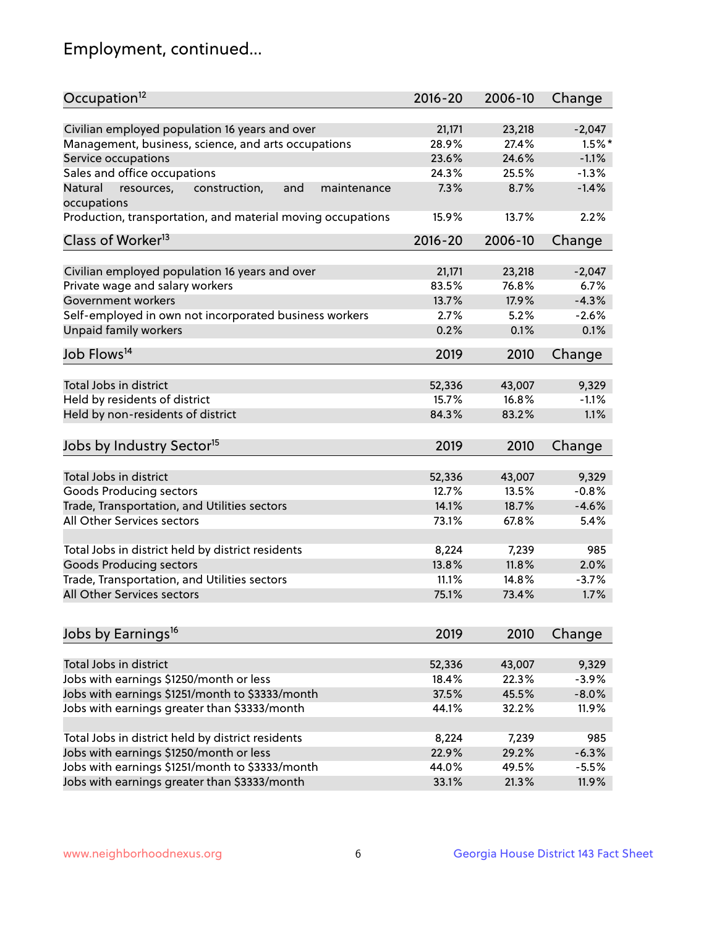## Employment, continued...

| Occupation <sup>12</sup>                                                    | $2016 - 20$     | 2006-10         | Change              |
|-----------------------------------------------------------------------------|-----------------|-----------------|---------------------|
| Civilian employed population 16 years and over                              |                 |                 |                     |
|                                                                             | 21,171<br>28.9% | 23,218<br>27.4% | $-2,047$            |
| Management, business, science, and arts occupations                         | 23.6%           | 24.6%           | $1.5%$ *<br>$-1.1%$ |
| Service occupations                                                         |                 |                 | $-1.3%$             |
| Sales and office occupations                                                | 24.3%           | 25.5%           |                     |
| Natural<br>and<br>resources,<br>construction,<br>maintenance<br>occupations | 7.3%            | 8.7%            | $-1.4%$             |
| Production, transportation, and material moving occupations                 | 15.9%           | 13.7%           | 2.2%                |
| Class of Worker <sup>13</sup>                                               | $2016 - 20$     | 2006-10         | Change              |
|                                                                             |                 |                 |                     |
| Civilian employed population 16 years and over                              | 21,171          | 23,218          | $-2,047$            |
| Private wage and salary workers                                             | 83.5%           | 76.8%           | 6.7%                |
| Government workers                                                          | 13.7%           | 17.9%           | $-4.3%$             |
| Self-employed in own not incorporated business workers                      | 2.7%            | 5.2%            | $-2.6%$             |
| Unpaid family workers                                                       | 0.2%            | 0.1%            | 0.1%                |
| Job Flows <sup>14</sup>                                                     | 2019            | 2010            | Change              |
|                                                                             |                 |                 |                     |
| Total Jobs in district                                                      | 52,336          | 43,007          | 9,329               |
| Held by residents of district                                               | 15.7%           | 16.8%           | $-1.1%$             |
| Held by non-residents of district                                           | 84.3%           | 83.2%           | 1.1%                |
|                                                                             |                 |                 |                     |
| Jobs by Industry Sector <sup>15</sup>                                       | 2019            | 2010            | Change              |
| Total Jobs in district                                                      | 52,336          | 43,007          | 9,329               |
| Goods Producing sectors                                                     | 12.7%           | 13.5%           | $-0.8%$             |
| Trade, Transportation, and Utilities sectors                                | 14.1%           | 18.7%           | $-4.6%$             |
| All Other Services sectors                                                  | 73.1%           | 67.8%           | 5.4%                |
|                                                                             |                 |                 |                     |
| Total Jobs in district held by district residents                           | 8,224           | 7,239           | 985                 |
| <b>Goods Producing sectors</b>                                              | 13.8%           | 11.8%           | 2.0%                |
| Trade, Transportation, and Utilities sectors                                | 11.1%           | 14.8%           | $-3.7%$             |
| All Other Services sectors                                                  | 75.1%           | 73.4%           | 1.7%                |
|                                                                             |                 |                 |                     |
| Jobs by Earnings <sup>16</sup>                                              | 2019            | 2010            | Change              |
|                                                                             |                 |                 |                     |
| Total Jobs in district                                                      | 52,336          | 43,007          | 9,329               |
| Jobs with earnings \$1250/month or less                                     | 18.4%           | 22.3%           | $-3.9%$             |
| Jobs with earnings \$1251/month to \$3333/month                             | 37.5%           | 45.5%           | $-8.0%$             |
| Jobs with earnings greater than \$3333/month                                | 44.1%           | 32.2%           | 11.9%               |
|                                                                             |                 |                 |                     |
| Total Jobs in district held by district residents                           | 8,224           | 7,239           | 985                 |
| Jobs with earnings \$1250/month or less                                     | 22.9%           | 29.2%           | $-6.3%$             |
| Jobs with earnings \$1251/month to \$3333/month                             | 44.0%           | 49.5%           | $-5.5%$             |
| Jobs with earnings greater than \$3333/month                                | 33.1%           | 21.3%           | 11.9%               |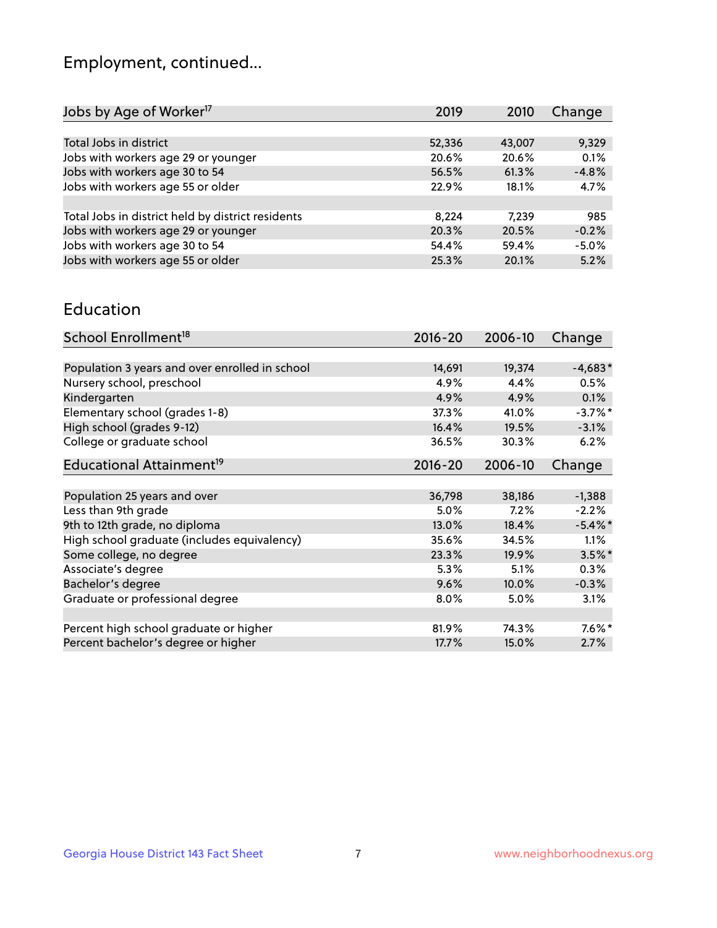## Employment, continued...

| 2019   | 2010   | Change  |
|--------|--------|---------|
|        |        |         |
| 52,336 | 43,007 | 9,329   |
| 20.6%  | 20.6%  | 0.1%    |
| 56.5%  | 61.3%  | $-4.8%$ |
| 22.9%  | 18.1%  | 4.7%    |
|        |        |         |
| 8,224  | 7.239  | 985     |
| 20.3%  | 20.5%  | $-0.2%$ |
| 54.4%  | 59.4%  | $-5.0%$ |
| 25.3%  | 20.1%  | 5.2%    |
|        |        |         |

#### Education

| School Enrollment <sup>18</sup>                | $2016 - 20$ | 2006-10 | Change     |
|------------------------------------------------|-------------|---------|------------|
|                                                |             |         |            |
| Population 3 years and over enrolled in school | 14,691      | 19,374  | $-4,683*$  |
| Nursery school, preschool                      | 4.9%        | 4.4%    | 0.5%       |
| Kindergarten                                   | 4.9%        | 4.9%    | 0.1%       |
| Elementary school (grades 1-8)                 | 37.3%       | 41.0%   | $-3.7%$ *  |
| High school (grades 9-12)                      | 16.4%       | 19.5%   | $-3.1%$    |
| College or graduate school                     | 36.5%       | 30.3%   | 6.2%       |
| Educational Attainment <sup>19</sup>           | $2016 - 20$ | 2006-10 | Change     |
|                                                |             |         |            |
| Population 25 years and over                   | 36,798      | 38,186  | $-1,388$   |
| Less than 9th grade                            | 5.0%        | 7.2%    | $-2.2%$    |
| 9th to 12th grade, no diploma                  | 13.0%       | 18.4%   | $-5.4\%$ * |
| High school graduate (includes equivalency)    | 35.6%       | 34.5%   | 1.1%       |
| Some college, no degree                        | 23.3%       | 19.9%   | $3.5\%$ *  |
| Associate's degree                             | 5.3%        | 5.1%    | 0.3%       |
| Bachelor's degree                              | 9.6%        | 10.0%   | $-0.3%$    |
| Graduate or professional degree                | $8.0\%$     | 5.0%    | 3.1%       |
|                                                |             |         |            |
| Percent high school graduate or higher         | 81.9%       | 74.3%   | $7.6\%$ *  |
| Percent bachelor's degree or higher            | 17.7%       | 15.0%   | 2.7%       |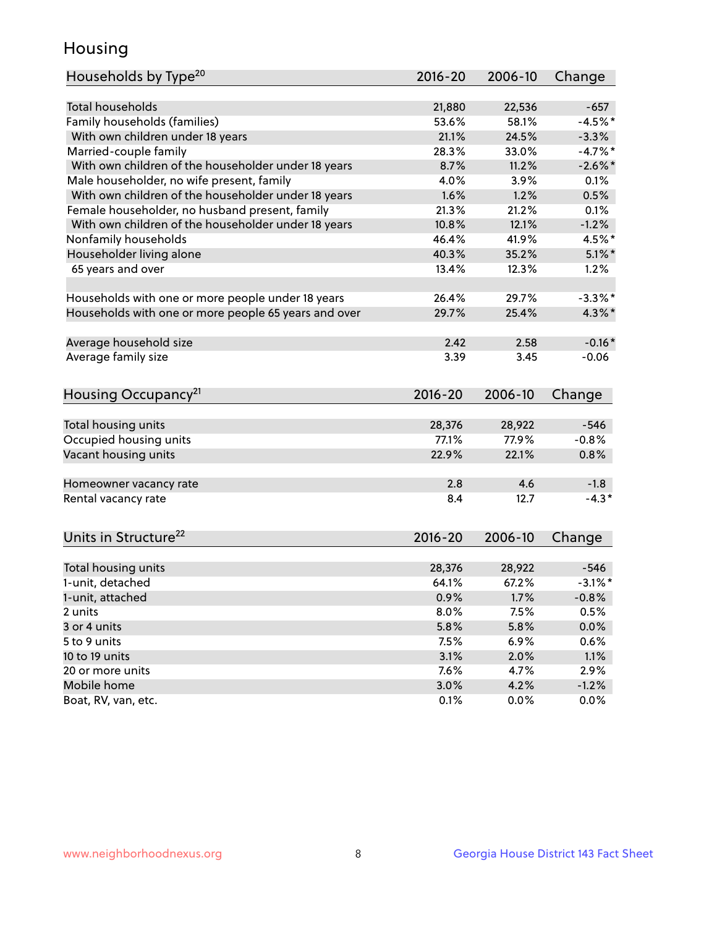## Housing

| Households by Type <sup>20</sup>                     | 2016-20     | 2006-10      | Change     |
|------------------------------------------------------|-------------|--------------|------------|
|                                                      |             |              |            |
| <b>Total households</b>                              | 21,880      | 22,536       | $-657$     |
| Family households (families)                         | 53.6%       | 58.1%        | $-4.5%$ *  |
| With own children under 18 years                     | 21.1%       | 24.5%        | $-3.3%$    |
| Married-couple family                                | 28.3%       | 33.0%        | $-4.7%$ *  |
| With own children of the householder under 18 years  | 8.7%        | 11.2%        | $-2.6\%$ * |
| Male householder, no wife present, family            | 4.0%        | 3.9%         | 0.1%       |
| With own children of the householder under 18 years  | 1.6%        | 1.2%         | 0.5%       |
| Female householder, no husband present, family       | 21.3%       | 21.2%        | 0.1%       |
| With own children of the householder under 18 years  | 10.8%       | 12.1%        | $-1.2%$    |
| Nonfamily households                                 | 46.4%       | 41.9%        | 4.5%*      |
| Householder living alone                             | 40.3%       | 35.2%        | $5.1\%$ *  |
| 65 years and over                                    | 13.4%       | 12.3%        | 1.2%       |
|                                                      |             |              |            |
| Households with one or more people under 18 years    | 26.4%       | 29.7%        | $-3.3\%$ * |
| Households with one or more people 65 years and over | 29.7%       | 25.4%        | $4.3\%$ *  |
|                                                      |             |              |            |
| Average household size                               | 2.42        | 2.58         | $-0.16*$   |
| Average family size                                  | 3.39        | 3.45         | $-0.06$    |
|                                                      |             |              |            |
| Housing Occupancy <sup>21</sup>                      | $2016 - 20$ | 2006-10      | Change     |
|                                                      |             |              |            |
| Total housing units                                  | 28,376      | 28,922       | $-546$     |
| Occupied housing units                               | 77.1%       | 77.9%        | $-0.8%$    |
| Vacant housing units                                 | 22.9%       | 22.1%        | 0.8%       |
|                                                      |             |              |            |
| Homeowner vacancy rate                               | 2.8         | 4.6          | $-1.8$     |
| Rental vacancy rate                                  | 8.4         | 12.7         | $-4.3*$    |
|                                                      |             |              |            |
|                                                      |             |              |            |
| Units in Structure <sup>22</sup>                     | 2016-20     | 2006-10      | Change     |
| Total housing units                                  | 28,376      | 28,922       | $-546$     |
| 1-unit, detached                                     | 64.1%       | 67.2%        | $-3.1\%$ * |
|                                                      | 0.9%        |              |            |
| 1-unit, attached                                     |             | 1.7%<br>7.5% | $-0.8%$    |
| 2 units                                              | 8.0%        |              | 0.5%       |
| 3 or 4 units                                         | 5.8%        | 5.8%         | 0.0%       |
| 5 to 9 units                                         | 7.5%        | 6.9%         | 0.6%       |
| 10 to 19 units                                       | 3.1%        | 2.0%         | 1.1%       |
| 20 or more units                                     | 7.6%        | 4.7%         | 2.9%       |
| Mobile home<br>Boat, RV, van, etc.                   | 3.0%        | 4.2%         | $-1.2%$    |
|                                                      | 0.1%        | 0.0%         | 0.0%       |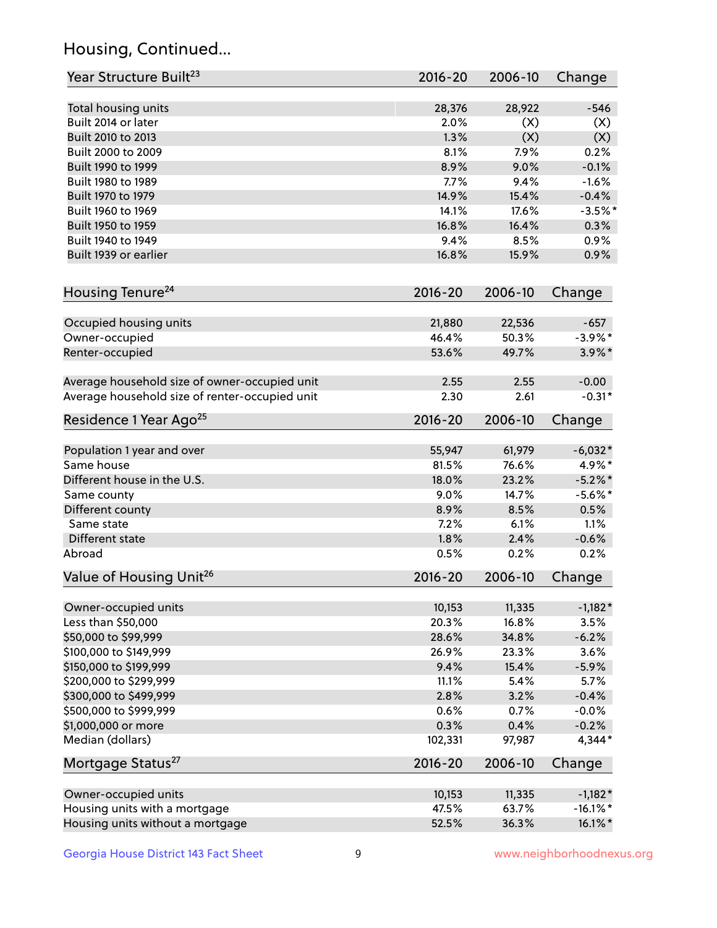## Housing, Continued...

| Year Structure Built <sup>23</sup>             | 2016-20        | 2006-10    | Change      |
|------------------------------------------------|----------------|------------|-------------|
|                                                |                |            |             |
| Total housing units<br>Built 2014 or later     | 28,376<br>2.0% | 28,922     | $-546$      |
| Built 2010 to 2013                             | 1.3%           | (X)<br>(X) | (X)         |
| Built 2000 to 2009                             | 8.1%           | 7.9%       | (X)<br>0.2% |
|                                                |                |            |             |
| Built 1990 to 1999                             | 8.9%           | 9.0%       | $-0.1%$     |
| Built 1980 to 1989                             | 7.7%           | 9.4%       | $-1.6%$     |
| Built 1970 to 1979                             | 14.9%          | 15.4%      | $-0.4%$     |
| Built 1960 to 1969                             | 14.1%          | 17.6%      | $-3.5%$ *   |
| Built 1950 to 1959                             | 16.8%          | 16.4%      | 0.3%        |
| Built 1940 to 1949                             | 9.4%           | 8.5%       | 0.9%        |
| Built 1939 or earlier                          | 16.8%          | 15.9%      | 0.9%        |
| Housing Tenure <sup>24</sup>                   | $2016 - 20$    | 2006-10    | Change      |
| Occupied housing units                         | 21,880         | 22,536     | $-657$      |
| Owner-occupied                                 | 46.4%          | 50.3%      | $-3.9\%$ *  |
| Renter-occupied                                | 53.6%          | 49.7%      | $3.9\%$ *   |
|                                                |                |            |             |
| Average household size of owner-occupied unit  | 2.55           | 2.55       | $-0.00$     |
| Average household size of renter-occupied unit | 2.30           | 2.61       | $-0.31*$    |
| Residence 1 Year Ago <sup>25</sup>             | $2016 - 20$    | 2006-10    | Change      |
| Population 1 year and over                     | 55,947         | 61,979     | $-6,032*$   |
| Same house                                     | 81.5%          | 76.6%      | 4.9%*       |
| Different house in the U.S.                    | 18.0%          | 23.2%      | $-5.2\%$ *  |
| Same county                                    | 9.0%           | 14.7%      | $-5.6\%$ *  |
| Different county                               | 8.9%           | 8.5%       | 0.5%        |
| Same state                                     | 7.2%           | 6.1%       | 1.1%        |
| Different state                                | 1.8%           | 2.4%       | $-0.6%$     |
| Abroad                                         | 0.5%           | 0.2%       | 0.2%        |
| Value of Housing Unit <sup>26</sup>            | $2016 - 20$    | 2006-10    | Change      |
|                                                |                |            |             |
| Owner-occupied units                           | 10,153         | 11,335     | $-1,182*$   |
| Less than \$50,000                             | 20.3%          | 16.8%      | 3.5%        |
| \$50,000 to \$99,999                           | 28.6%          | 34.8%      | $-6.2%$     |
| \$100,000 to \$149,999                         | 26.9%          | 23.3%      | 3.6%        |
| \$150,000 to \$199,999                         | 9.4%           | 15.4%      | $-5.9%$     |
| \$200,000 to \$299,999                         | 11.1%          | 5.4%       | 5.7%        |
| \$300,000 to \$499,999                         | 2.8%           | 3.2%       | $-0.4%$     |
| \$500,000 to \$999,999                         | 0.6%           | 0.7%       | $-0.0%$     |
| \$1,000,000 or more                            | 0.3%           | 0.4%       | $-0.2%$     |
| Median (dollars)                               | 102,331        | 97,987     | 4,344*      |
| Mortgage Status <sup>27</sup>                  | $2016 - 20$    | 2006-10    | Change      |
| Owner-occupied units                           | 10,153         | 11,335     | $-1,182*$   |
| Housing units with a mortgage                  | 47.5%          | 63.7%      | $-16.1\%$ * |
| Housing units without a mortgage               | 52.5%          | 36.3%      | 16.1%*      |
|                                                |                |            |             |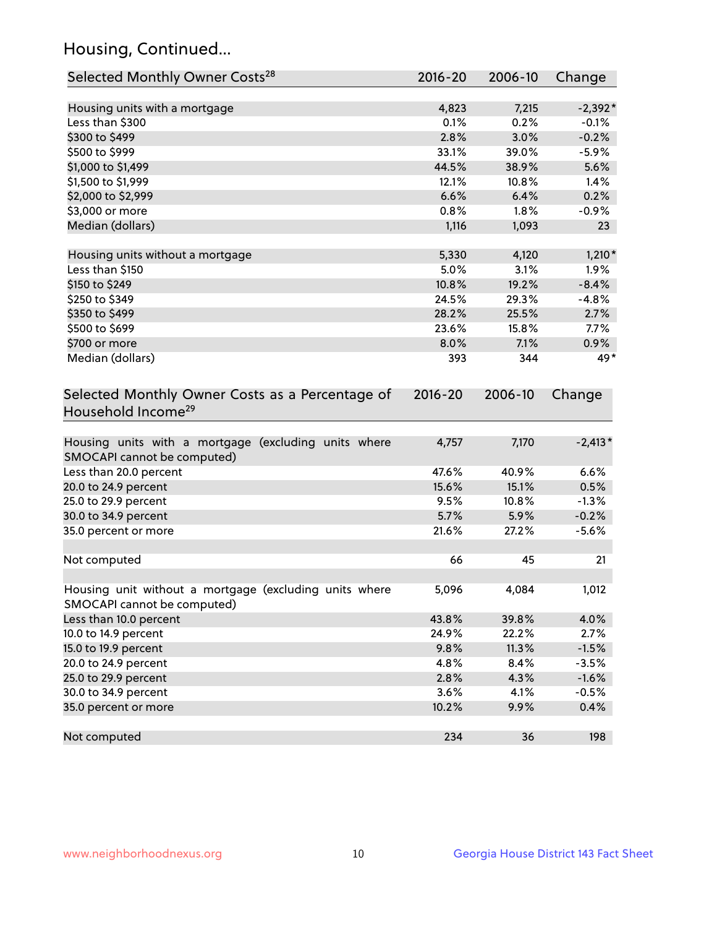## Housing, Continued...

| Selected Monthly Owner Costs <sup>28</sup>                                            | 2016-20 | 2006-10 | Change    |
|---------------------------------------------------------------------------------------|---------|---------|-----------|
| Housing units with a mortgage                                                         | 4,823   | 7,215   | $-2,392*$ |
| Less than \$300                                                                       | 0.1%    | 0.2%    | $-0.1%$   |
| \$300 to \$499                                                                        | 2.8%    | 3.0%    | $-0.2%$   |
| \$500 to \$999                                                                        | 33.1%   | 39.0%   | $-5.9%$   |
| \$1,000 to \$1,499                                                                    | 44.5%   | 38.9%   | 5.6%      |
| \$1,500 to \$1,999                                                                    | 12.1%   | 10.8%   | 1.4%      |
| \$2,000 to \$2,999                                                                    | 6.6%    | 6.4%    | 0.2%      |
| \$3,000 or more                                                                       | 0.8%    | 1.8%    | $-0.9%$   |
| Median (dollars)                                                                      | 1,116   | 1,093   | 23        |
| Housing units without a mortgage                                                      | 5,330   | 4,120   | $1,210*$  |
| Less than \$150                                                                       | 5.0%    | 3.1%    | 1.9%      |
| \$150 to \$249                                                                        | 10.8%   | 19.2%   | $-8.4%$   |
| \$250 to \$349                                                                        | 24.5%   | 29.3%   | $-4.8%$   |
| \$350 to \$499                                                                        | 28.2%   | 25.5%   | 2.7%      |
| \$500 to \$699                                                                        | 23.6%   | 15.8%   | 7.7%      |
| \$700 or more                                                                         | 8.0%    | 7.1%    | 0.9%      |
| Median (dollars)                                                                      | 393     | 344     | 49*       |
| Selected Monthly Owner Costs as a Percentage of<br>Household Income <sup>29</sup>     |         |         | Change    |
| Housing units with a mortgage (excluding units where<br>SMOCAPI cannot be computed)   | 4,757   | 7,170   | $-2,413*$ |
| Less than 20.0 percent                                                                | 47.6%   | 40.9%   | 6.6%      |
| 20.0 to 24.9 percent                                                                  | 15.6%   | 15.1%   | 0.5%      |
| 25.0 to 29.9 percent                                                                  | 9.5%    | 10.8%   | $-1.3%$   |
| 30.0 to 34.9 percent                                                                  | 5.7%    | 5.9%    | $-0.2%$   |
| 35.0 percent or more                                                                  | 21.6%   | 27.2%   | $-5.6%$   |
| Not computed                                                                          | 66      | 45      | 21        |
| Housing unit without a mortgage (excluding units where<br>SMOCAPI cannot be computed) | 5,096   | 4,084   | 1,012     |
| Less than 10.0 percent                                                                | 43.8%   | 39.8%   | 4.0%      |
| 10.0 to 14.9 percent                                                                  | 24.9%   | 22.2%   | 2.7%      |
| 15.0 to 19.9 percent                                                                  | 9.8%    | 11.3%   | $-1.5%$   |
| 20.0 to 24.9 percent                                                                  | 4.8%    | 8.4%    | $-3.5%$   |
| 25.0 to 29.9 percent                                                                  | 2.8%    | 4.3%    | $-1.6%$   |
| 30.0 to 34.9 percent                                                                  | 3.6%    | 4.1%    | $-0.5%$   |
| 35.0 percent or more                                                                  | 10.2%   | 9.9%    | 0.4%      |
| Not computed                                                                          | 234     | 36      | 198       |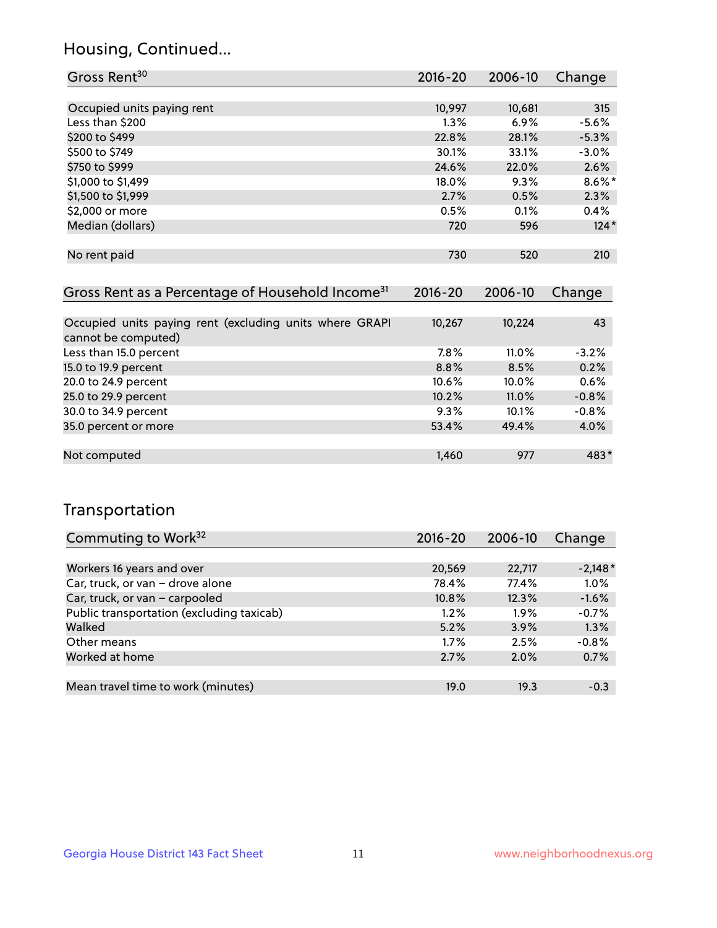## Housing, Continued...

| Gross Rent <sup>30</sup>   | 2016-20 | 2006-10 | Change    |
|----------------------------|---------|---------|-----------|
|                            |         |         |           |
| Occupied units paying rent | 10,997  | 10,681  | 315       |
| Less than \$200            | 1.3%    | 6.9%    | $-5.6%$   |
| \$200 to \$499             | 22.8%   | 28.1%   | $-5.3%$   |
| \$500 to \$749             | 30.1%   | 33.1%   | $-3.0%$   |
| \$750 to \$999             | 24.6%   | 22.0%   | 2.6%      |
| \$1,000 to \$1,499         | 18.0%   | 9.3%    | $8.6\%$ * |
| \$1,500 to \$1,999         | 2.7%    | 0.5%    | 2.3%      |
| \$2,000 or more            | 0.5%    | 0.1%    | 0.4%      |
| Median (dollars)           | 720     | 596     | $124*$    |
|                            |         |         |           |
| No rent paid               | 730     | 520     | 210       |
|                            |         |         |           |

| Gross Rent as a Percentage of Household Income <sup>31</sup>                   | $2016 - 20$ | 2006-10 | Change  |
|--------------------------------------------------------------------------------|-------------|---------|---------|
|                                                                                |             |         |         |
| Occupied units paying rent (excluding units where GRAPI<br>cannot be computed) | 10,267      | 10,224  | 43      |
| Less than 15.0 percent                                                         | 7.8%        | 11.0%   | $-3.2%$ |
| 15.0 to 19.9 percent                                                           | 8.8%        | 8.5%    | 0.2%    |
| 20.0 to 24.9 percent                                                           | 10.6%       | 10.0%   | 0.6%    |
| 25.0 to 29.9 percent                                                           | 10.2%       | 11.0%   | $-0.8%$ |
| 30.0 to 34.9 percent                                                           | 9.3%        | 10.1%   | $-0.8%$ |
| 35.0 percent or more                                                           | 53.4%       | 49.4%   | $4.0\%$ |
|                                                                                |             |         |         |
| Not computed                                                                   | 1,460       | 977     | 483*    |

## Transportation

| Commuting to Work <sup>32</sup>           | 2016-20 | 2006-10 | Change    |
|-------------------------------------------|---------|---------|-----------|
|                                           |         |         |           |
| Workers 16 years and over                 | 20,569  | 22,717  | $-2,148*$ |
| Car, truck, or van - drove alone          | 78.4%   | 77.4%   | 1.0%      |
| Car, truck, or van - carpooled            | 10.8%   | 12.3%   | $-1.6%$   |
| Public transportation (excluding taxicab) | $1.2\%$ | $1.9\%$ | $-0.7%$   |
| Walked                                    | 5.2%    | 3.9%    | 1.3%      |
| Other means                               | $1.7\%$ | 2.5%    | $-0.8%$   |
| Worked at home                            | 2.7%    | 2.0%    | 0.7%      |
|                                           |         |         |           |
| Mean travel time to work (minutes)        | 19.0    | 19.3    | $-0.3$    |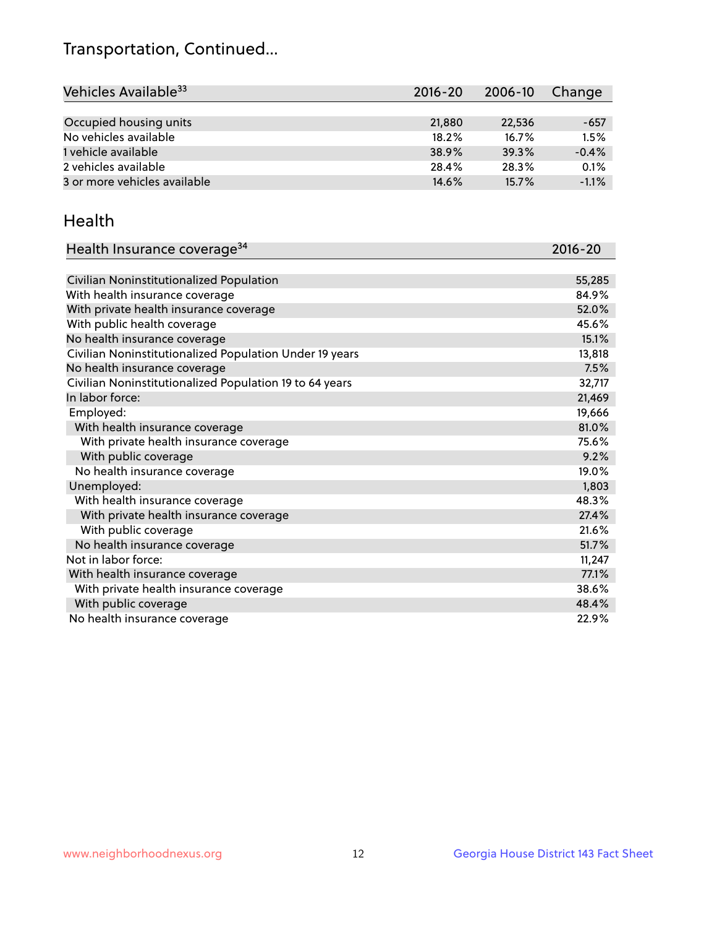## Transportation, Continued...

| Vehicles Available <sup>33</sup> | $2016 - 20$ | 2006-10 | Change  |
|----------------------------------|-------------|---------|---------|
|                                  |             |         |         |
| Occupied housing units           | 21,880      | 22,536  | -657    |
| No vehicles available            | 18.2%       | 16.7%   | 1.5%    |
| 1 vehicle available              | 38.9%       | 39.3%   | $-0.4%$ |
| 2 vehicles available             | 28.4%       | 28.3%   | 0.1%    |
| 3 or more vehicles available     | 14.6%       | 15.7%   | $-1.1%$ |

#### Health

| Health Insurance coverage <sup>34</sup>                 | 2016-20 |
|---------------------------------------------------------|---------|
|                                                         |         |
| Civilian Noninstitutionalized Population                | 55,285  |
| With health insurance coverage                          | 84.9%   |
| With private health insurance coverage                  | 52.0%   |
| With public health coverage                             | 45.6%   |
| No health insurance coverage                            | 15.1%   |
| Civilian Noninstitutionalized Population Under 19 years | 13,818  |
| No health insurance coverage                            | 7.5%    |
| Civilian Noninstitutionalized Population 19 to 64 years | 32,717  |
| In labor force:                                         | 21,469  |
| Employed:                                               | 19,666  |
| With health insurance coverage                          | 81.0%   |
| With private health insurance coverage                  | 75.6%   |
| With public coverage                                    | 9.2%    |
| No health insurance coverage                            | 19.0%   |
| Unemployed:                                             | 1,803   |
| With health insurance coverage                          | 48.3%   |
| With private health insurance coverage                  | 27.4%   |
| With public coverage                                    | 21.6%   |
| No health insurance coverage                            | 51.7%   |
| Not in labor force:                                     | 11,247  |
| With health insurance coverage                          | 77.1%   |
| With private health insurance coverage                  | 38.6%   |
| With public coverage                                    | 48.4%   |
| No health insurance coverage                            | 22.9%   |